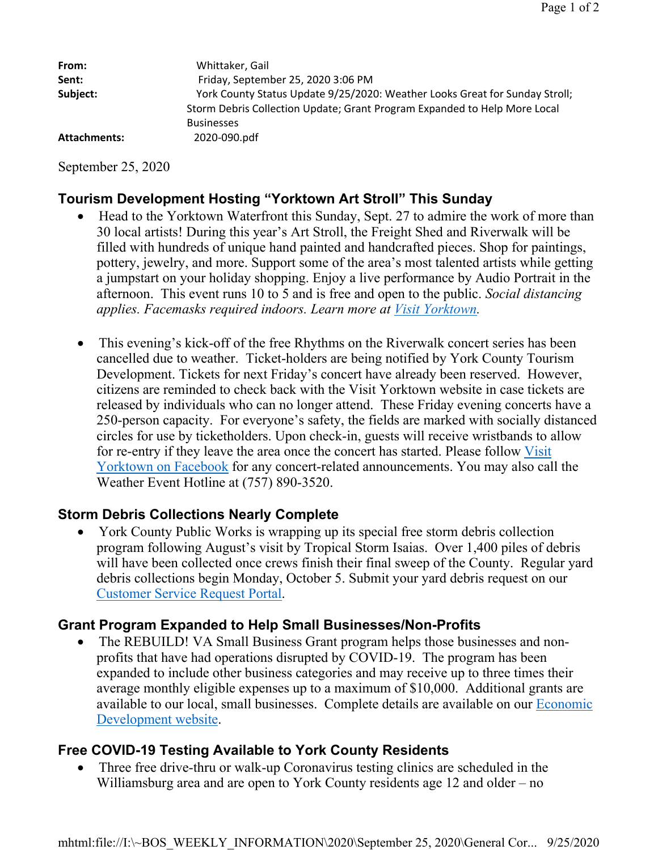| From:        | Whittaker, Gail                                                                                                                                          |
|--------------|----------------------------------------------------------------------------------------------------------------------------------------------------------|
| Sent:        | Friday, September 25, 2020 3:06 PM                                                                                                                       |
| Subject:     | York County Status Update 9/25/2020: Weather Looks Great for Sunday Stroll;<br>Storm Debris Collection Update; Grant Program Expanded to Help More Local |
| Attachments: | <b>Businesses</b><br>2020-090.pdf                                                                                                                        |

September 25, 2020

## **Tourism Development Hosting "Yorktown Art Stroll" This Sunday**

- Head to the Yorktown Waterfront this Sunday, Sept. 27 to admire the work of more than 30 local artists! During this year's Art Stroll, the Freight Shed and Riverwalk will be filled with hundreds of unique hand painted and handcrafted pieces. Shop for paintings, pottery, jewelry, and more. Support some of the area's most talented artists while getting a jumpstart on your holiday shopping. Enjoy a live performance by Audio Portrait in the afternoon. This event runs 10 to 5 and is free and open to the public. *Social distancing applies. Facemasks required indoors. Learn more at Visit Yorktown.*
- This evening's kick-off of the free Rhythms on the Riverwalk concert series has been cancelled due to weather. Ticket-holders are being notified by York County Tourism Development. Tickets for next Friday's concert have already been reserved. However, citizens are reminded to check back with the Visit Yorktown website in case tickets are released by individuals who can no longer attend. These Friday evening concerts have a 250-person capacity. For everyone's safety, the fields are marked with socially distanced circles for use by ticketholders. Upon check-in, guests will receive wristbands to allow for re-entry if they leave the area once the concert has started. Please follow Visit Yorktown on Facebook for any concert-related announcements. You may also call the Weather Event Hotline at (757) 890-3520.

## **Storm Debris Collections Nearly Complete**

 York County Public Works is wrapping up its special free storm debris collection program following August's visit by Tropical Storm Isaias. Over 1,400 piles of debris will have been collected once crews finish their final sweep of the County. Regular yard debris collections begin Monday, October 5. Submit your yard debris request on our Customer Service Request Portal.

## **Grant Program Expanded to Help Small Businesses/Non-Profits**

 The REBUILD! VA Small Business Grant program helps those businesses and nonprofits that have had operations disrupted by COVID-19. The program has been expanded to include other business categories and may receive up to three times their average monthly eligible expenses up to a maximum of \$10,000. Additional grants are available to our local, small businesses. Complete details are available on our Economic Development website.

# **Free COVID-19 Testing Available to York County Residents**

 Three free drive-thru or walk-up Coronavirus testing clinics are scheduled in the Williamsburg area and are open to York County residents age 12 and older – no